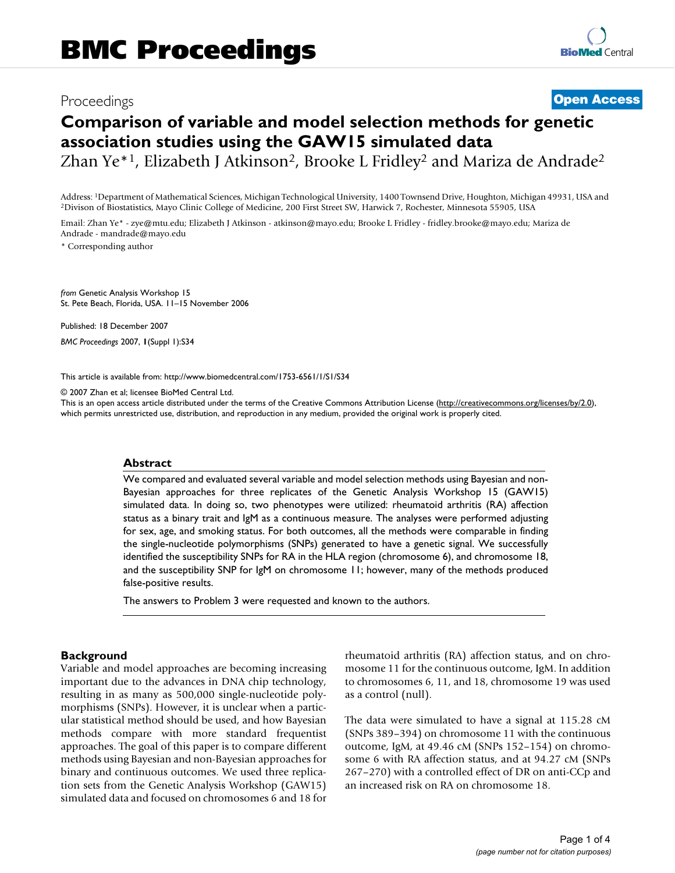# Proceedings **[Open Access](http://www.biomedcentral.com/info/about/charter/)**

# **Comparison of variable and model selection methods for genetic association studies using the GAW15 simulated data**

Zhan Ye<sup>\*1</sup>, Elizabeth J Atkinson<sup>2</sup>, Brooke L Fridley<sup>2</sup> and Mariza de Andrade<sup>2</sup>

Address: <sup>1</sup>Department of Mathematical Sciences, Michigan Technological University, 1400 Townsend Drive, Houghton, Michigan 49931, USA and <sup>2</sup>Divison of Biostatistics, Mayo Clinic College of Medicine, 200 First Street SW,

Email: Zhan Ye\* - zye@mtu.edu; Elizabeth J Atkinson - atkinson@mayo.edu; Brooke L Fridley - fridley.brooke@mayo.edu; Mariza de Andrade - mandrade@mayo.edu

\* Corresponding author

*from* Genetic Analysis Workshop 15 St. Pete Beach, Florida, USA. 11–15 November 2006

Published: 18 December 2007

*BMC Proceedings* 2007, **1**(Suppl 1):S34

[This article is available from: http://www.biomedcentral.com/1753-6561/1/S1/S34](http://www.biomedcentral.com/1753-6561/1/S1/S34)

© 2007 Zhan et al; licensee BioMed Central Ltd.

This is an open access article distributed under the terms of the Creative Commons Attribution License [\(http://creativecommons.org/licenses/by/2.0\)](http://creativecommons.org/licenses/by/2.0), which permits unrestricted use, distribution, and reproduction in any medium, provided the original work is properly cited.

#### **Abstract**

We compared and evaluated several variable and model selection methods using Bayesian and non-Bayesian approaches for three replicates of the Genetic Analysis Workshop 15 (GAW15) simulated data. In doing so, two phenotypes were utilized: rheumatoid arthritis (RA) affection status as a binary trait and IgM as a continuous measure. The analyses were performed adjusting for sex, age, and smoking status. For both outcomes, all the methods were comparable in finding the single-nucleotide polymorphisms (SNPs) generated to have a genetic signal. We successfully identified the susceptibility SNPs for RA in the HLA region (chromosome 6), and chromosome 18, and the susceptibility SNP for IgM on chromosome 11; however, many of the methods produced false-positive results.

The answers to Problem 3 were requested and known to the authors.

## **Background**

Variable and model approaches are becoming increasing important due to the advances in DNA chip technology, resulting in as many as 500,000 single-nucleotide polymorphisms (SNPs). However, it is unclear when a particular statistical method should be used, and how Bayesian methods compare with more standard frequentist approaches. The goal of this paper is to compare different methods using Bayesian and non-Bayesian approaches for binary and continuous outcomes. We used three replication sets from the Genetic Analysis Workshop (GAW15) simulated data and focused on chromosomes 6 and 18 for rheumatoid arthritis (RA) affection status, and on chromosome 11 for the continuous outcome, IgM. In addition to chromosomes 6, 11, and 18, chromosome 19 was used as a control (null).

The data were simulated to have a signal at 115.28 cM (SNPs 389–394) on chromosome 11 with the continuous outcome, IgM, at 49.46 cM (SNPs 152–154) on chromosome 6 with RA affection status, and at 94.27 cM (SNPs 267–270) with a controlled effect of DR on anti-CCp and an increased risk on RA on chromosome 18.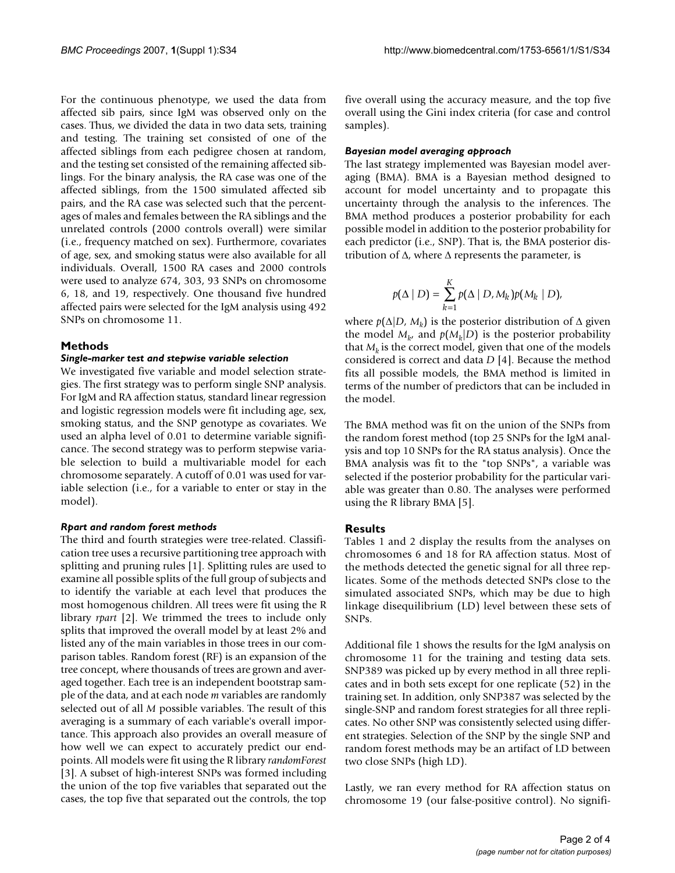For the continuous phenotype, we used the data from affected sib pairs, since IgM was observed only on the cases. Thus, we divided the data in two data sets, training and testing. The training set consisted of one of the affected siblings from each pedigree chosen at random, and the testing set consisted of the remaining affected siblings. For the binary analysis, the RA case was one of the affected siblings, from the 1500 simulated affected sib pairs, and the RA case was selected such that the percentages of males and females between the RA siblings and the unrelated controls (2000 controls overall) were similar (i.e., frequency matched on sex). Furthermore, covariates of age, sex, and smoking status were also available for all individuals. Overall, 1500 RA cases and 2000 controls were used to analyze 674, 303, 93 SNPs on chromosome 6, 18, and 19, respectively. One thousand five hundred affected pairs were selected for the IgM analysis using 492 SNPs on chromosome 11.

#### **Methods**

#### *Single-marker test and stepwise variable selection*

We investigated five variable and model selection strategies. The first strategy was to perform single SNP analysis. For IgM and RA affection status, standard linear regression and logistic regression models were fit including age, sex, smoking status, and the SNP genotype as covariates. We used an alpha level of 0.01 to determine variable significance. The second strategy was to perform stepwise variable selection to build a multivariable model for each chromosome separately. A cutoff of 0.01 was used for variable selection (i.e., for a variable to enter or stay in the model).

#### *Rpart and random forest methods*

The third and fourth strategies were tree-related. Classification tree uses a recursive partitioning tree approach with splitting and pruning rules [1]. Splitting rules are used to examine all possible splits of the full group of subjects and to identify the variable at each level that produces the most homogenous children. All trees were fit using the R library *rpart* [2]. We trimmed the trees to include only splits that improved the overall model by at least 2% and listed any of the main variables in those trees in our comparison tables. Random forest (RF) is an expansion of the tree concept, where thousands of trees are grown and averaged together. Each tree is an independent bootstrap sample of the data, and at each node *m* variables are randomly selected out of all *M* possible variables. The result of this averaging is a summary of each variable's overall importance. This approach also provides an overall measure of how well we can expect to accurately predict our endpoints. All models were fit using the R library *randomForest* [3]. A subset of high-interest SNPs was formed including the union of the top five variables that separated out the cases, the top five that separated out the controls, the top five overall using the accuracy measure, and the top five overall using the Gini index criteria (for case and control samples).

#### *Bayesian model averaging approach*

The last strategy implemented was Bayesian model averaging (BMA). BMA is a Bayesian method designed to account for model uncertainty and to propagate this uncertainty through the analysis to the inferences. The BMA method produces a posterior probability for each possible model in addition to the posterior probability for each predictor (i.e., SNP). That is, the BMA posterior distribution of  $Δ$ , where  $Δ$  represents the parameter, is

$$
p(\Delta | D) = \sum_{k=1}^K p(\Delta | D, M_k) p(M_k | D),
$$

where  $p(\Delta|D, M_k)$  is the posterior distribution of  $\Delta$  given the model  $M_{k}$ , and  $p(M_k|D)$  is the posterior probability that  $M_k$  is the correct model, given that one of the models considered is correct and data *D* [4]. Because the method fits all possible models, the BMA method is limited in terms of the number of predictors that can be included in the model.

The BMA method was fit on the union of the SNPs from the random forest method (top 25 SNPs for the IgM analysis and top 10 SNPs for the RA status analysis). Once the BMA analysis was fit to the "top SNPs", a variable was selected if the posterior probability for the particular variable was greater than 0.80. The analyses were performed using the R library BMA [5].

#### **Results**

Tables 1 and 2 display the results from the analyses on chromosomes 6 and 18 for RA affection status. Most of the methods detected the genetic signal for all three replicates. Some of the methods detected SNPs close to the simulated associated SNPs, which may be due to high linkage disequilibrium (LD) level between these sets of SNPs.

Additional file 1 shows the results for the IgM analysis on chromosome 11 for the training and testing data sets. SNP389 was picked up by every method in all three replicates and in both sets except for one replicate (52) in the training set. In addition, only SNP387 was selected by the single-SNP and random forest strategies for all three replicates. No other SNP was consistently selected using different strategies. Selection of the SNP by the single SNP and random forest methods may be an artifact of LD between two close SNPs (high LD).

Lastly, we ran every method for RA affection status on chromosome 19 (our false-positive control). No signifi-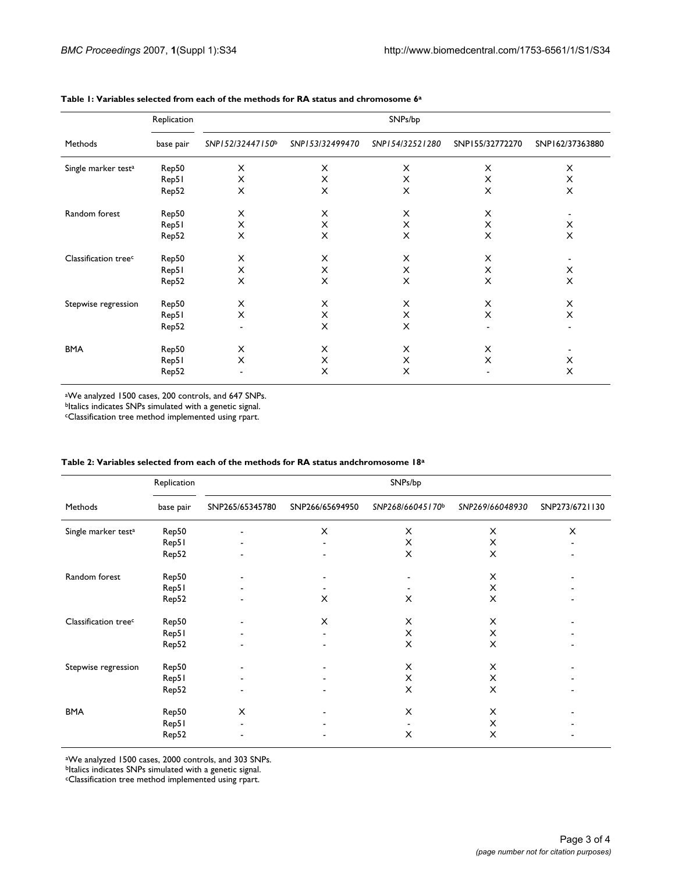| Methods                          | Replication<br>base pair | SNPs/bp          |                 |                 |                 |                 |  |  |
|----------------------------------|--------------------------|------------------|-----------------|-----------------|-----------------|-----------------|--|--|
|                                  |                          | SNP152/32447150b | SNP153/32499470 | SNP154/32521280 | SNP155/32772270 | SNP162/37363880 |  |  |
| Single marker test <sup>a</sup>  | Rep50                    | X                | X               | X               | X               | X               |  |  |
|                                  | Rep51                    | X                | X               | X               | X               | X               |  |  |
|                                  | Rep52                    | X                | X               | X               | X               | X               |  |  |
| Random forest                    | Rep50                    | X                | X               | X               | X               | ۰               |  |  |
|                                  | Rep51                    | X                | X               | X               | X               | X               |  |  |
|                                  | Rep52                    | X                | X               | X               | X               | X               |  |  |
| Classification tree <sup>c</sup> | Rep50                    | X                | $\times$        | X               | X               |                 |  |  |
|                                  | Rep51                    | X                | X               | X               | X               | X               |  |  |
|                                  | Rep52                    | X                | X               | X               | X               | X               |  |  |
| Stepwise regression              | Rep50                    | X                | X               | X               | X               | X               |  |  |
|                                  | Rep51                    | X                | X               | X               | X               | X               |  |  |
|                                  | Rep52                    | $\blacksquare$   | X               | X               |                 |                 |  |  |
| <b>BMA</b>                       | Rep50                    | X                | X               | X               | X               |                 |  |  |
|                                  | Rep51                    | X                | X               | X               | X               | X               |  |  |
|                                  | Rep52                    | $\blacksquare$   | X               | X               |                 | X               |  |  |

#### **Table 1: Variables selected from each of the methods for RA status and chromosome 6a**

aWe analyzed 1500 cases, 200 controls, and 647 SNPs.

bItalics indicates SNPs simulated with a genetic signal.

cClassification tree method implemented using rpart.

| Methods                          | Replication<br>base pair | SNPs/bp                  |                 |                  |                 |                |  |
|----------------------------------|--------------------------|--------------------------|-----------------|------------------|-----------------|----------------|--|
|                                  |                          | SNP265/65345780          | SNP266/65694950 | SNP268/66045170b | SNP269/66048930 | SNP273/6721130 |  |
| Single marker test <sup>a</sup>  | Rep50                    | $\blacksquare$           | X               | X                | X               | X              |  |
|                                  | Rep51                    |                          |                 | X                | X               |                |  |
|                                  | Rep52                    |                          |                 | X                | X               |                |  |
| Random forest                    | Rep50                    | $\overline{\phantom{a}}$ |                 |                  | X               |                |  |
|                                  | Rep51                    |                          |                 |                  | X               |                |  |
|                                  | Rep52                    |                          | X               | X                | $\times$        |                |  |
| Classification tree <sup>c</sup> | Rep50                    |                          | X               | Х                | X               |                |  |
|                                  | Rep51                    |                          |                 | X                | X               |                |  |
|                                  | Rep52                    |                          |                 | X                | X               |                |  |
| Stepwise regression              | Rep50                    |                          |                 | X                | X               |                |  |
|                                  | Rep51                    |                          |                 | X                | X               |                |  |
|                                  | Rep52                    |                          |                 | X                | X               |                |  |
| <b>BMA</b>                       | Rep50                    | X                        |                 | X                | X               |                |  |
|                                  | Rep51                    | $\blacksquare$           |                 |                  | X               |                |  |
|                                  | Rep52                    |                          |                 | X                | X               |                |  |

#### **Table 2: Variables selected from each of the methods for RA status andchromosome 18a**

aWe analyzed 1500 cases, 2000 controls, and 303 SNPs.

bItalics indicates SNPs simulated with a genetic signal.

cClassification tree method implemented using rpart.